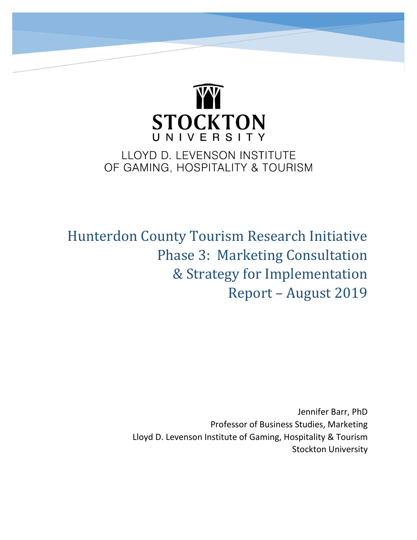

# LLOYD D. LEVENSON INSTITUTE OF GAMING, HOSPITALITY & TOURISM

Hunterdon County Tourism Research Initiative Phase 3: Marketing Consultation & Strategy for Implementation Report – August 2019

> Jennifer Barr, PhD Professor of Business Studies, Marketing Lloyd D. Levenson Institute of Gaming, Hospitality & Tourism Stockton University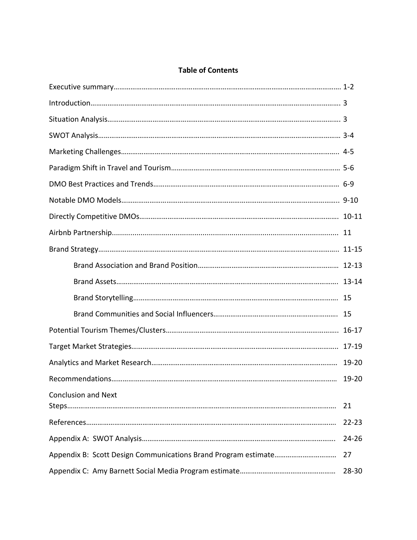# **Table of Contents**

| <b>Conclusion and Next</b> | 21        |  |
|----------------------------|-----------|--|
|                            | $22 - 23$ |  |
|                            | 24-26     |  |
|                            |           |  |
|                            |           |  |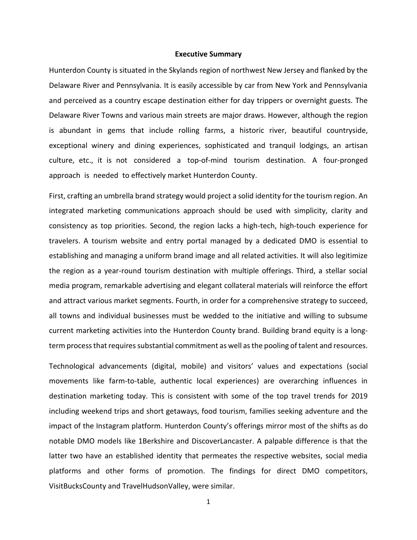#### **Executive Summary**

Hunterdon County is situated in the Skylands region of northwest New Jersey and flanked by the Delaware River and Pennsylvania. It is easily accessible by car from New York and Pennsylvania and perceived as a country escape destination either for day trippers or overnight guests. The Delaware River Towns and various main streets are major draws. However, although the region is abundant in gems that include rolling farms, a historic river, beautiful countryside, exceptional winery and dining experiences, sophisticated and tranquil lodgings, an artisan culture, etc., it is not considered a top-of-mind tourism destination. A four-pronged approach is needed to effectively market Hunterdon County.

First, crafting an umbrella brand strategy would project a solid identity for the tourism region. An integrated marketing communications approach should be used with simplicity, clarity and consistency as top priorities. Second, the region lacks a high-tech, high-touch experience for travelers. A tourism website and entry portal managed by a dedicated DMO is essential to establishing and managing a uniform brand image and all related activities. It will also legitimize the region as a year-round tourism destination with multiple offerings. Third, a stellar social media program, remarkable advertising and elegant collateral materials will reinforce the effort and attract various market segments. Fourth, in order for a comprehensive strategy to succeed, all towns and individual businesses must be wedded to the initiative and willing to subsume current marketing activities into the Hunterdon County brand. Building brand equity is a longterm process that requires substantial commitment as well as the pooling of talent and resources.

Technological advancements (digital, mobile) and visitors' values and expectations (social movements like farm-to-table, authentic local experiences) are overarching influences in destination marketing today. This is consistent with some of the top travel trends for 2019 including weekend trips and short getaways, food tourism, families seeking adventure and the impact of the Instagram platform. Hunterdon County's offerings mirror most of the shifts as do notable DMO models like 1Berkshire and DiscoverLancaster. A palpable difference is that the latter two have an established identity that permeates the respective websites, social media platforms and other forms of promotion. The findings for direct DMO competitors, VisitBucksCounty and TravelHudsonValley, were similar.

1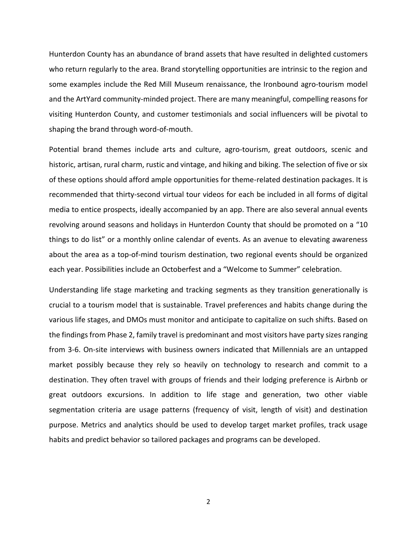Hunterdon County has an abundance of brand assets that have resulted in delighted customers who return regularly to the area. Brand storytelling opportunities are intrinsic to the region and some examples include the Red Mill Museum renaissance, the Ironbound agro-tourism model and the ArtYard community-minded project. There are many meaningful, compelling reasons for visiting Hunterdon County, and customer testimonials and social influencers will be pivotal to shaping the brand through word-of-mouth.

Potential brand themes include arts and culture, agro-tourism, great outdoors, scenic and historic, artisan, rural charm, rustic and vintage, and hiking and biking. The selection of five or six of these options should afford ample opportunities for theme-related destination packages. It is recommended that thirty-second virtual tour videos for each be included in all forms of digital media to entice prospects, ideally accompanied by an app. There are also several annual events revolving around seasons and holidays in Hunterdon County that should be promoted on a "10 things to do list" or a monthly online calendar of events. As an avenue to elevating awareness about the area as a top-of-mind tourism destination, two regional events should be organized each year. Possibilities include an Octoberfest and a "Welcome to Summer" celebration.

Understanding life stage marketing and tracking segments as they transition generationally is crucial to a tourism model that is sustainable. Travel preferences and habits change during the various life stages, and DMOs must monitor and anticipate to capitalize on such shifts. Based on the findings from Phase 2, family travel is predominant and most visitors have party sizes ranging from 3-6. On-site interviews with business owners indicated that Millennials are an untapped market possibly because they rely so heavily on technology to research and commit to a destination. They often travel with groups of friends and their lodging preference is Airbnb or great outdoors excursions. In addition to life stage and generation, two other viable segmentation criteria are usage patterns (frequency of visit, length of visit) and destination purpose. Metrics and analytics should be used to develop target market profiles, track usage habits and predict behavior so tailored packages and programs can be developed.

2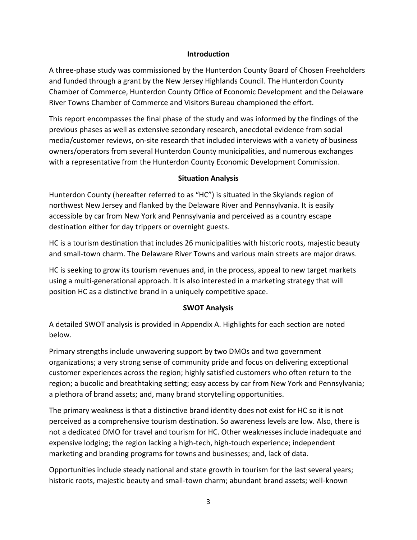#### **Introduction**

A three-phase study was commissioned by the Hunterdon County Board of Chosen Freeholders and funded through a grant by the New Jersey Highlands Council. The Hunterdon County Chamber of Commerce, Hunterdon County Office of Economic Development and the Delaware River Towns Chamber of Commerce and Visitors Bureau championed the effort.

This report encompasses the final phase of the study and was informed by the findings of the previous phases as well as extensive secondary research, anecdotal evidence from social media/customer reviews, on-site research that included interviews with a variety of business owners/operators from several Hunterdon County municipalities, and numerous exchanges with a representative from the Hunterdon County Economic Development Commission.

# **Situation Analysis**

Hunterdon County (hereafter referred to as "HC") is situated in the Skylands region of northwest New Jersey and flanked by the Delaware River and Pennsylvania. It is easily accessible by car from New York and Pennsylvania and perceived as a country escape destination either for day trippers or overnight guests.

HC is a tourism destination that includes 26 municipalities with historic roots, majestic beauty and small-town charm. The Delaware River Towns and various main streets are major draws.

HC is seeking to grow its tourism revenues and, in the process, appeal to new target markets using a multi-generational approach. It is also interested in a marketing strategy that will position HC as a distinctive brand in a uniquely competitive space.

# **SWOT Analysis**

A detailed SWOT analysis is provided in Appendix A. Highlights for each section are noted below.

Primary strengths include unwavering support by two DMOs and two government organizations; a very strong sense of community pride and focus on delivering exceptional customer experiences across the region; highly satisfied customers who often return to the region; a bucolic and breathtaking setting; easy access by car from New York and Pennsylvania; a plethora of brand assets; and, many brand storytelling opportunities.

The primary weakness is that a distinctive brand identity does not exist for HC so it is not perceived as a comprehensive tourism destination. So awareness levels are low. Also, there is not a dedicated DMO for travel and tourism for HC. Other weaknesses include inadequate and expensive lodging; the region lacking a high-tech, high-touch experience; independent marketing and branding programs for towns and businesses; and, lack of data.

Opportunities include steady national and state growth in tourism for the last several years; historic roots, majestic beauty and small-town charm; abundant brand assets; well-known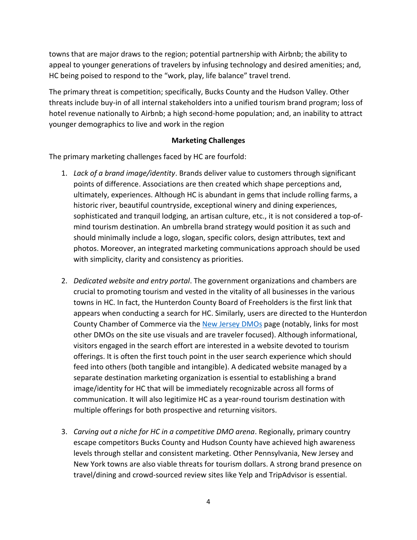towns that are major draws to the region; potential partnership with Airbnb; the ability to appeal to younger generations of travelers by infusing technology and desired amenities; and, HC being poised to respond to the "work, play, life balance" travel trend.

The primary threat is competition; specifically, Bucks County and the Hudson Valley. Other threats include buy-in of all internal stakeholders into a unified tourism brand program; loss of hotel revenue nationally to Airbnb; a high second-home population; and, an inability to attract younger demographics to live and work in the region

#### **Marketing Challenges**

The primary marketing challenges faced by HC are fourfold:

- 1. *Lack of a brand image/identity*. Brands deliver value to customers through significant points of difference. Associations are then created which shape perceptions and, ultimately, experiences. Although HC is abundant in gems that include rolling farms, a historic river, beautiful countryside, exceptional winery and dining experiences, sophisticated and tranquil lodging, an artisan culture, etc., it is not considered a top-ofmind tourism destination. An umbrella brand strategy would position it as such and should minimally include a logo, slogan, specific colors, design attributes, text and photos. Moreover, an integrated marketing communications approach should be used with simplicity, clarity and consistency as priorities.
- 2. *Dedicated website and entry portal*. The government organizations and chambers are crucial to promoting tourism and vested in the vitality of all businesses in the various towns in HC. In fact, the Hunterdon County Board of Freeholders is the first link that appears when conducting a search for HC. Similarly, users are directed to the Hunterdon County Chamber of Commerce via the [New Jersey DMOs](https://www.visitnj.org/new-jersey-destination-marketing-organizations) page (notably, links for most other DMOs on the site use visuals and are traveler focused). Although informational, visitors engaged in the search effort are interested in a website devoted to tourism offerings. It is often the first touch point in the user search experience which should feed into others (both tangible and intangible). A dedicated website managed by a separate destination marketing organization is essential to establishing a brand image/identity for HC that will be immediately recognizable across all forms of communication. It will also legitimize HC as a year-round tourism destination with multiple offerings for both prospective and returning visitors.
- 3. *Carving out a niche for HC in a competitive DMO arena*. Regionally, primary country escape competitors Bucks County and Hudson County have achieved high awareness levels through stellar and consistent marketing. Other Pennsylvania, New Jersey and New York towns are also viable threats for tourism dollars. A strong brand presence on travel/dining and crowd-sourced review sites like Yelp and TripAdvisor is essential.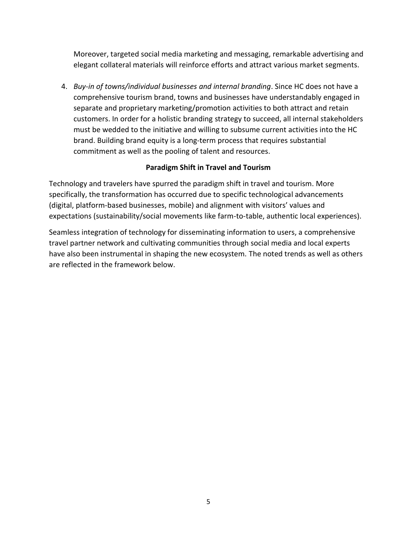Moreover, targeted social media marketing and messaging, remarkable advertising and elegant collateral materials will reinforce efforts and attract various market segments.

4. *Buy*-*in of towns/individual businesses and internal branding*. Since HC does not have a comprehensive tourism brand, towns and businesses have understandably engaged in separate and proprietary marketing/promotion activities to both attract and retain customers. In order for a holistic branding strategy to succeed, all internal stakeholders must be wedded to the initiative and willing to subsume current activities into the HC brand. Building brand equity is a long-term process that requires substantial commitment as well as the pooling of talent and resources.

# **Paradigm Shift in Travel and Tourism**

Technology and travelers have spurred the paradigm shift in travel and tourism. More specifically, the transformation has occurred due to specific technological advancements (digital, platform-based businesses, mobile) and alignment with visitors' values and expectations (sustainability/social movements like farm-to-table, authentic local experiences).

Seamless integration of technology for disseminating information to users, a comprehensive travel partner network and cultivating communities through social media and local experts have also been instrumental in shaping the new ecosystem. The noted trends as well as others are reflected in the framework below.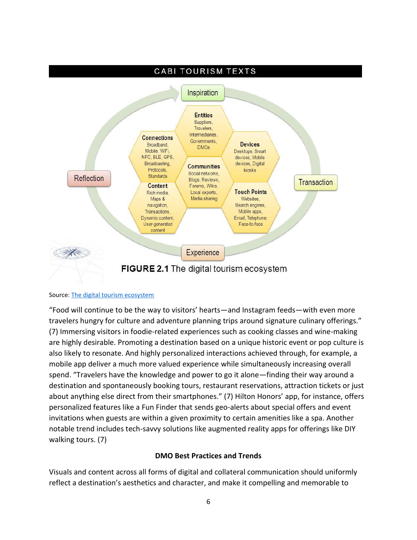

#### Source[: The digital tourism ecosystem](https://www.google.com/search?q=ecosystem+for+tourism&rlz=1C1GGRV_enUS764US764&tbm=isch&source=iu&ictx=1&fir=AwzYdTRcop9MuM%253A%252C-OpZYVd6UlilqM%252C_&vet=1&usg=AI4_-kTPh9n9l5QSJbnFmPseANlygOcYTQ&sa=X&ved=2ahUKEwj2_MScxdPjAhXMnuAKHYkJC9kQ9QEwAHoECAMQAw#imgrc=E9aoT-dWeGslpM:&vet=1)

"Food will continue to be the way to visitors' hearts—and Instagram feeds—with even more travelers hungry for culture and adventure planning trips around signature culinary offerings." (7) Immersing visitors in foodie-related experiences such as cooking classes and wine-making are highly desirable. Promoting a destination based on a unique historic event or pop culture is also likely to resonate. And highly personalized interactions achieved through, for example, a mobile app deliver a much more valued experience while simultaneously increasing overall spend. "Travelers have the knowledge and power to go it alone—finding their way around a destination and spontaneously booking tours, restaurant reservations, attraction tickets or just about anything else direct from their smartphones." (7) Hilton Honors' app, for instance, offers personalized features like a Fun Finder that sends geo-alerts about special offers and event invitations when guests are within a given proximity to certain amenities like a spa. Another notable trend includes tech-savvy solutions like augmented reality apps for offerings like DIY walking tours. (7)

#### **DMO Best Practices and Trends**

Visuals and content across all forms of digital and collateral communication should uniformly reflect a destination's aesthetics and character, and make it compelling and memorable to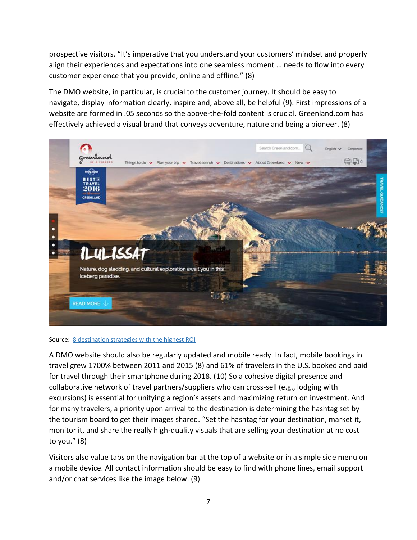prospective visitors. "It's imperative that you understand your customers' mindset and properly align their experiences and expectations into one seamless moment … needs to flow into every customer experience that you provide, online and offline." (8)

The DMO website, in particular, is crucial to the customer journey. It should be easy to navigate, display information clearly, inspire and, above all, be helpful (9). First impressions of a website are formed in .05 seconds so the above-the-fold content is crucial. Greenland.com has effectively achieved a visual brand that conveys adventure, nature and being a pioneer. (8)



#### Source: [8 destination strategies with the highest ROI](https://www.trekksoft.com/en/blog/best-destination-marketing-strategies)

A DMO website should also be regularly updated and mobile ready. In fact, mobile bookings in travel grew 1700% between 2011 and 2015 (8) and 61% of travelers in the U.S. booked and paid for travel through their smartphone during 2018. (10) So a cohesive digital presence and collaborative network of travel partners/suppliers who can cross-sell (e.g., lodging with excursions) is essential for unifying a region's assets and maximizing return on investment. And for many travelers, a priority upon arrival to the destination is determining the hashtag set by the tourism board to get their images shared. "Set the hashtag for your destination, market it, monitor it, and share the really high-quality visuals that are selling your destination at no cost to you." (8)

Visitors also value tabs on the navigation bar at the top of a website or in a simple side menu on a mobile device. All contact information should be easy to find with phone lines, email support and/or chat services like the image below. (9)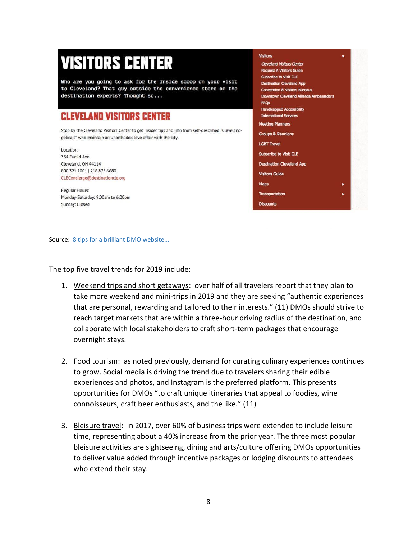# **VISITORS CENTER**

Who are you going to ask for the inside scoop on your visit to Cleveland? That guy outside the convenience store or the destination experts? Thought so...

# **CLEVELAND VISITORS CENTER**

Stop by the Cleveland Visitors Center to get insider tips and info from self-described "Clevelandgelicals" who maintain an unorthodox love affair with the city.

Location: 334 Euclid Ave. Cleveland, OH 44114 800.321.1001 | 216.875.6680 CLEConcierge@destinationcle.org

Regular Hours: Monday-Saturday: 9:00am to 6:00pm Sunday: Closed

#### Visitors **Cleveland Visitors Center Request A Visitors Guide** Subscribe to Visit CLE tination Cleveland App **Convention & Visitors Bureaus Downtown Cleveland Alliance Ambassadors** FAQs **Handicapped Accessibility International Services Meeting Planners Groups & Reunions LGBT Travel** Subscribe to Visit CLE **Destination Cleveland App Visitors Guide** Maps Transportation **Discounts**

Source: [8 tips for a brilliant DMO website...](https://destinationthink.com/8-tips-destination-marketing-dmo-website-hall-of-fame/)

The top five travel trends for 2019 include:

- 1. Weekend trips and short getaways: over half of all travelers report that they plan to take more weekend and mini-trips in 2019 and they are seeking "authentic experiences that are personal, rewarding and tailored to their interests." (11) DMOs should strive to reach target markets that are within a three-hour driving radius of the destination, and collaborate with local stakeholders to craft short-term packages that encourage overnight stays.
- 2. Food tourism: as noted previously, demand for curating culinary experiences continues to grow. Social media is driving the trend due to travelers sharing their edible experiences and photos, and Instagram is the preferred platform. This presents opportunities for DMOs "to craft unique itineraries that appeal to foodies, wine connoisseurs, craft beer enthusiasts, and the like." (11)
- 3. Bleisure travel: in 2017, over 60% of business trips were extended to include leisure time, representing about a 40% increase from the prior year. The three most popular bleisure activities are sightseeing, dining and arts/culture offering DMOs opportunities to deliver value added through incentive packages or lodging discounts to attendees who extend their stay.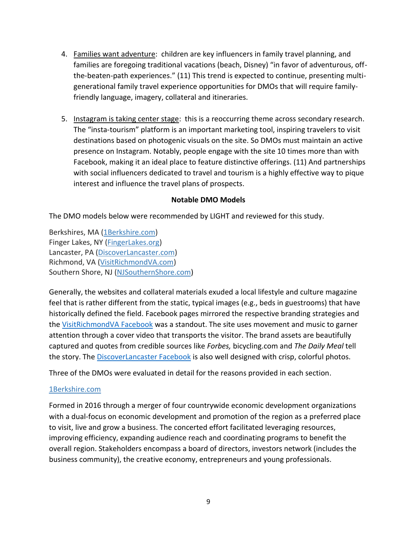- 4. Families want adventure: children are key influencers in family travel planning, and families are foregoing traditional vacations (beach, Disney) "in favor of adventurous, offthe-beaten-path experiences." (11) This trend is expected to continue, presenting multigenerational family travel experience opportunities for DMOs that will require familyfriendly language, imagery, collateral and itineraries.
- 5. Instagram is taking center stage: this is a reoccurring theme across secondary research. The "insta-tourism" platform is an important marketing tool, inspiring travelers to visit destinations based on photogenic visuals on the site. So DMOs must maintain an active presence on Instagram. Notably, people engage with the site 10 times more than with Facebook, making it an ideal place to feature distinctive offerings. (11) And partnerships with social influencers dedicated to travel and tourism is a highly effective way to pique interest and influence the travel plans of prospects.

#### **Notable DMO Models**

The DMO models below were recommended by LIGHT and reviewed for this study.

Berkshires, MA [\(1Berkshire.com\)](https://1berkshire.com/) Finger Lakes, NY [\(FingerLakes.org\)](https://www.fingerlakes.org/) Lancaster, PA [\(DiscoverLancaster.com\)](https://www.discoverlancaster.com/index.asp) Richmond, VA [\(VisitRichmondVA.com\)](https://www.visitrichmondva.com/) Southern Shore, NJ [\(NJSouthernShore.com\)](https://njsouthernshore.com/)

Generally, the websites and collateral materials exuded a local lifestyle and culture magazine feel that is rather different from the static, typical images (e.g., beds in guestrooms) that have historically defined the field. Facebook pages mirrored the respective branding strategies and the [VisitRichmondVA Facebook](https://www.facebook.com/VisitRichmondVA/) was a standout. The site uses movement and music to garner attention through a cover video that transports the visitor. The brand assets are beautifully captured and quotes from credible sources like *Forbes,* bicycling.com and *The Daily Meal* tell the story. The **DiscoverLancaster Facebook** is also well designed with crisp, colorful photos.

Three of the DMOs were evaluated in detail for the reasons provided in each section.

#### [1Berkshire.com](https://1berkshire.com/)

Formed in 2016 through a merger of four countrywide economic development organizations with a dual-focus on economic development and promotion of the region as a preferred place to visit, live and grow a business. The concerted effort facilitated leveraging resources, improving efficiency, expanding audience reach and coordinating programs to benefit the overall region. Stakeholders encompass a board of directors, investors network (includes the business community), the creative economy, entrepreneurs and young professionals.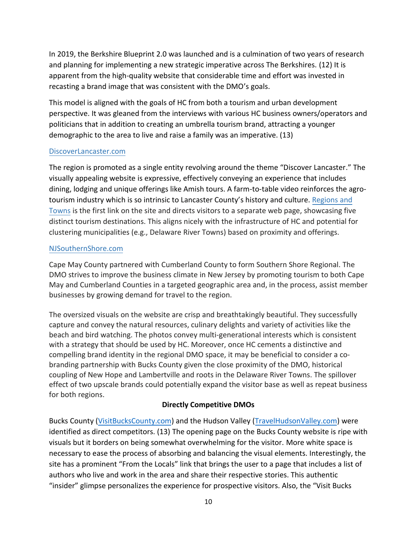In 2019, the Berkshire Blueprint 2.0 was launched and is a culmination of two years of research and planning for implementing a new strategic imperative across The Berkshires. (12) It is apparent from the high-quality website that considerable time and effort was invested in recasting a brand image that was consistent with the DMO's goals.

This model is aligned with the goals of HC from both a tourism and urban development perspective. It was gleaned from the interviews with various HC business owners/operators and politicians that in addition to creating an umbrella tourism brand, attracting a younger demographic to the area to live and raise a family was an imperative. (13)

#### [DiscoverLancaster.com](https://www.discoverlancaster.com/index.asp)

The region is promoted as a single entity revolving around the theme "Discover Lancaster." The visually appealing website is expressive, effectively conveying an experience that includes dining, lodging and unique offerings like Amish tours. A farm-to-table video reinforces the agrotourism industry which is so intrinsic to Lancaster County's history and culture. [Regions and](https://www.discoverlancaster.com/regions-towns.asp) [Towns](https://www.discoverlancaster.com/regions-towns.asp) is the first link on the site and directs visitors to a separate web page, showcasing five distinct tourism destinations. This aligns nicely with the infrastructure of HC and potential for clustering municipalities (e.g., Delaware River Towns) based on proximity and offerings.

# [NJSouthernShore.com](https://njsouthernshore.com/)

Cape May County partnered with Cumberland County to form Southern Shore Regional. The DMO strives to improve the business climate in New Jersey by promoting tourism to both Cape May and Cumberland Counties in a targeted geographic area and, in the process, assist member businesses by growing demand for travel to the region.

The oversized visuals on the website are crisp and breathtakingly beautiful. They successfully capture and convey the natural resources, culinary delights and variety of activities like the beach and bird watching. The photos convey multi-generational interests which is consistent with a strategy that should be used by HC. Moreover, once HC cements a distinctive and compelling brand identity in the regional DMO space, it may be beneficial to consider a cobranding partnership with Bucks County given the close proximity of the DMO, historical coupling of New Hope and Lambertville and roots in the Delaware River Towns. The spillover effect of two upscale brands could potentially expand the visitor base as well as repeat business for both regions.

# **Directly Competitive DMOs**

Bucks County [\(VisitBucksCounty.com\)](https://www.visitbuckscounty.com/) and the Hudson Valley [\(TravelHudsonValley.com\)](https://travelhudsonvalley.com/) were identified as direct competitors. (13) The opening page on the Bucks County website is ripe with visuals but it borders on being somewhat overwhelming for the visitor. More white space is necessary to ease the process of absorbing and balancing the visual elements. Interestingly, the site has a prominent "From the Locals" link that brings the user to a page that includes a list of authors who live and work in the area and share their respective stories. This authentic "insider" glimpse personalizes the experience for prospective visitors. Also, the "Visit Bucks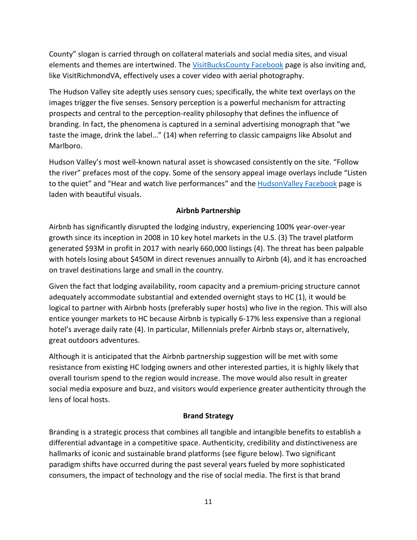County" slogan is carried through on collateral materials and social media sites, and visual elements and themes are intertwined. Th[e VisitBucksCounty Facebook](https://www.facebook.com/VisitBucksPA/) page is also inviting and, like VisitRichmondVA, effectively uses a cover video with aerial photography.

The Hudson Valley site adeptly uses sensory cues; specifically, the white text overlays on the images trigger the five senses. Sensory perception is a powerful mechanism for attracting prospects and central to the perception-reality philosophy that defines the influence of branding. In fact, the phenomena is captured in a seminal advertising monograph that "we taste the image, drink the label…" (14) when referring to classic campaigns like Absolut and Marlboro.

Hudson Valley's most well-known natural asset is showcased consistently on the site. "Follow the river" prefaces most of the copy. Some of the sensory appeal image overlays include "Listen to the quiet" and "Hear and watch live performances" and the [HudsonValley Facebook](https://www.facebook.com/HudsonRiverValley/) page is laden with beautiful visuals.

# **Airbnb Partnership**

Airbnb has significantly disrupted the lodging industry, experiencing 100% year-over-year growth since its inception in 2008 in 10 key hotel markets in the U.S. (3) The travel platform generated \$93M in profit in 2017 with nearly 660,000 listings (4). The threat has been palpable with hotels losing about \$450M in direct revenues annually to Airbnb (4), and it has encroached on travel destinations large and small in the country.

Given the fact that lodging availability, room capacity and a premium-pricing structure cannot adequately accommodate substantial and extended overnight stays to HC (1), it would be logical to partner with Airbnb hosts (preferably super hosts) who live in the region. This will also entice younger markets to HC because Airbnb is typically 6-17% less expensive than a regional hotel's average daily rate (4). In particular, Millennials prefer Airbnb stays or, alternatively, great outdoors adventures.

Although it is anticipated that the Airbnb partnership suggestion will be met with some resistance from existing HC lodging owners and other interested parties, it is highly likely that overall tourism spend to the region would increase. The move would also result in greater social media exposure and buzz, and visitors would experience greater authenticity through the lens of local hosts.

# **Brand Strategy**

Branding is a strategic process that combines all tangible and intangible benefits to establish a differential advantage in a competitive space. Authenticity, credibility and distinctiveness are hallmarks of iconic and sustainable brand platforms (see figure below). Two significant paradigm shifts have occurred during the past several years fueled by more sophisticated consumers, the impact of technology and the rise of social media. The first is that brand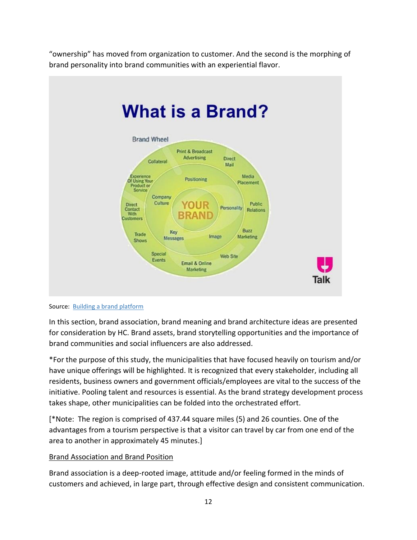"ownership" has moved from organization to customer. And the second is the morphing of brand personality into brand communities with an experiential flavor.



Source: [Building a brand platform](https://www.google.com/search?q=brand+platform&rlz=1C1GGRV_enUS764US764&tbm=isch&source=iu&ictx=1&fir=ehPjIMHRtRjs-M%253A%252CQHFYbnjfBKtlaM%252C_&vet=1&usg=AI4_-kSLYWDoLhZDGaX1akT-JOoY9fwwXQ&sa=X&ved=2ahUKEwiJ3oXpyt3jAhXMmuAKHQvHDq8Q9QEwAHoECAUQAw#imgrc=ehPjIMHRtRjs-M:)

In this section, brand association, brand meaning and brand architecture ideas are presented for consideration by HC. Brand assets, brand storytelling opportunities and the importance of brand communities and social influencers are also addressed.

\*For the purpose of this study, the municipalities that have focused heavily on tourism and/or have unique offerings will be highlighted. It is recognized that every stakeholder, including all residents, business owners and government officials/employees are vital to the success of the initiative. Pooling talent and resources is essential. As the brand strategy development process takes shape, other municipalities can be folded into the orchestrated effort.

[\*Note: The region is comprised of 437.44 square miles (5) and 26 counties. One of the advantages from a tourism perspective is that a visitor can travel by car from one end of the area to another in approximately 45 minutes.]

#### Brand Association and Brand Position

Brand association is a deep-rooted image, attitude and/or feeling formed in the minds of customers and achieved, in large part, through effective design and consistent communication.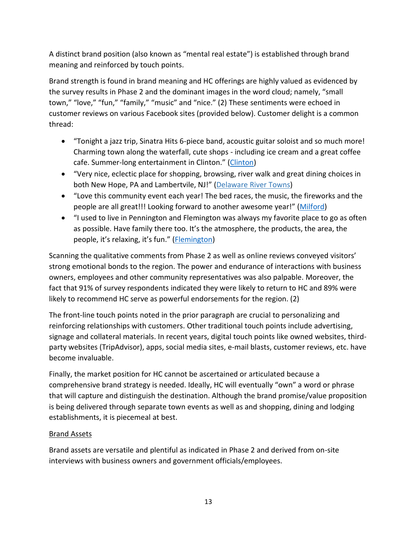A distinct brand position (also known as "mental real estate") is established through brand meaning and reinforced by touch points.

Brand strength is found in brand meaning and HC offerings are highly valued as evidenced by the survey results in Phase 2 and the dominant images in the word cloud; namely, "small town," "love," "fun," "family," "music" and "nice." (2) These sentiments were echoed in customer reviews on various Facebook sites (provided below). Customer delight is a common thread:

- "Tonight a jazz trip, Sinatra Hits 6-piece band, acoustic guitar soloist and so much more! Charming town along the waterfall, cute shops - including ice cream and a great coffee cafe. Summer-long entertainment in Clinton." [\(Clinton\)](https://www.facebook.com/clinton.nj.guild/)
- "Very nice, eclectic place for shopping, browsing, river walk and great dining choices in both New Hope, PA and Lambertvile, NJ!" [\(Delaware](https://www.facebook.com/DelawareRiverTowns/) River Towns)
- "Love this community event each year! The bed races, the music, the fireworks and the people are all great!!! Looking forward to another awesome year!" ([Milford\)](https://www.facebook.com/VisitMilfordNJ/)
- "I used to live in Pennington and Flemington was always my favorite place to go as often as possible. Have family there too. It's the atmosphere, the products, the area, the people, it's relaxing, it's fun." ([Flemington\)](https://www.facebook.com/loveflemington/)

Scanning the qualitative comments from Phase 2 as well as online reviews conveyed visitors' strong emotional bonds to the region. The power and endurance of interactions with business owners, employees and other community representatives was also palpable. Moreover, the fact that 91% of survey respondents indicated they were likely to return to HC and 89% were likely to recommend HC serve as powerful endorsements for the region. (2)

The front-line touch points noted in the prior paragraph are crucial to personalizing and reinforcing relationships with customers. Other traditional touch points include advertising, signage and collateral materials. In recent years, digital touch points like owned websites, thirdparty websites (TripAdvisor), apps, social media sites, e-mail blasts, customer reviews, etc. have become invaluable.

Finally, the market position for HC cannot be ascertained or articulated because a comprehensive brand strategy is needed. Ideally, HC will eventually "own" a word or phrase that will capture and distinguish the destination. Although the brand promise/value proposition is being delivered through separate town events as well as and shopping, dining and lodging establishments, it is piecemeal at best.

# Brand Assets

Brand assets are versatile and plentiful as indicated in Phase 2 and derived from on-site interviews with business owners and government officials/employees.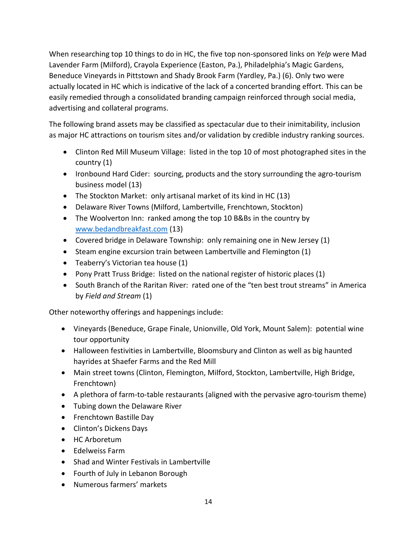When researching top 10 things to do in HC, the five top non-sponsored links on *Yelp* were Mad Lavender Farm (Milford), Crayola Experience (Easton, Pa.), Philadelphia's Magic Gardens, Beneduce Vineyards in Pittstown and Shady Brook Farm (Yardley, Pa.) (6). Only two were actually located in HC which is indicative of the lack of a concerted branding effort. This can be easily remedied through a consolidated branding campaign reinforced through social media, advertising and collateral programs.

The following brand assets may be classified as spectacular due to their inimitability, inclusion as major HC attractions on tourism sites and/or validation by credible industry ranking sources.

- Clinton Red Mill Museum Village: listed in the top 10 of most photographed sites in the country (1)
- Ironbound Hard Cider: sourcing, products and the story surrounding the agro-tourism business model (13)
- The Stockton Market: only artisanal market of its kind in HC (13)
- Delaware River Towns (Milford, Lambertville, Frenchtown, Stockton)
- The Woolverton Inn: ranked among the top 10 B&Bs in the country by [www.bedandbreakfast.com](http://www.bedandbreakfast.com/) (13)
- Covered bridge in Delaware Township: only remaining one in New Jersey (1)
- Steam engine excursion train between Lambertville and Flemington (1)
- Teaberry's Victorian tea house (1)
- Pony Pratt Truss Bridge: listed on the national register of historic places (1)
- South Branch of the Raritan River: rated one of the "ten best trout streams" in America by *Field and Stream* (1)

Other noteworthy offerings and happenings include:

- Vineyards (Beneduce, Grape Finale, Unionville, Old York, Mount Salem): potential wine tour opportunity
- Halloween festivities in Lambertville, Bloomsbury and Clinton as well as big haunted hayrides at Shaefer Farms and the Red Mill
- Main street towns (Clinton, Flemington, Milford, Stockton, Lambertville, High Bridge, Frenchtown)
- A plethora of farm-to-table restaurants (aligned with the pervasive agro-tourism theme)
- Tubing down the Delaware River
- Frenchtown Bastille Day
- Clinton's Dickens Days
- HC Arboretum
- Edelweiss Farm
- Shad and Winter Festivals in Lambertville
- Fourth of July in Lebanon Borough
- Numerous farmers' markets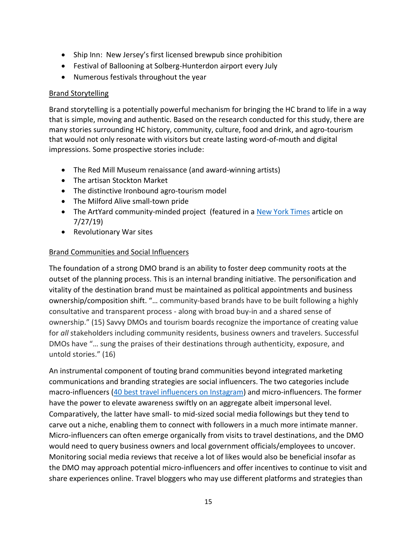- Ship Inn: New Jersey's first licensed brewpub since prohibition
- Festival of Ballooning at Solberg-Hunterdon airport every July
- Numerous festivals throughout the year

### Brand Storytelling

Brand storytelling is a potentially powerful mechanism for bringing the HC brand to life in a way that is simple, moving and authentic. Based on the research conducted for this study, there are many stories surrounding HC history, community, culture, food and drink, and agro-tourism that would not only resonate with visitors but create lasting word-of-mouth and digital impressions. Some prospective stories include:

- The Red Mill Museum renaissance (and award-winning artists)
- The artisan Stockton Market
- The distinctive Ironbound agro-tourism model
- The Milford Alive small-town pride
- The ArtYard community-minded project (featured in [a New York Times](https://www.nytimes.com/2019/07/27/style/applegate-farms-artyard.html) article on 7/27/19)
- Revolutionary War sites

#### Brand Communities and Social Influencers

The foundation of a strong DMO brand is an ability to foster deep community roots at the outset of the planning process. This is an internal branding initiative. The personification and vitality of the destination brand must be maintained as political appointments and business ownership/composition shift. "… community-based brands have to be built following a highly consultative and transparent process - along with broad buy-in and a shared sense of ownership." (15) Savvy DMOs and tourism boards recognize the importance of creating value for *all* stakeholders including community residents, business owners and travelers. Successful DMOs have "… sung the praises of their destinations through authenticity, exposure, and untold stories." (16)

An instrumental component of touting brand communities beyond integrated marketing communications and branding strategies are social influencers. The two categories include macro-influencers [\(40 best travel influencers on Instagram\)](https://uproxx.com/life/best-travel-influencers-on-instagram-2019/) and micro-influencers. The former have the power to elevate awareness swiftly on an aggregate albeit impersonal level. Comparatively, the latter have small- to mid-sized social media followings but they tend to carve out a niche, enabling them to connect with followers in a much more intimate manner. Micro-influencers can often emerge organically from visits to travel destinations, and the DMO would need to query business owners and local government officials/employees to uncover. Monitoring social media reviews that receive a lot of likes would also be beneficial insofar as the DMO may approach potential micro-influencers and offer incentives to continue to visit and share experiences online. Travel bloggers who may use different platforms and strategies than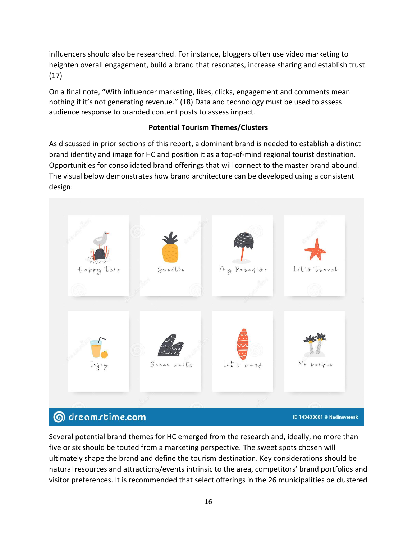influencers should also be researched. For instance, bloggers often use video marketing to heighten overall engagement, build a brand that resonates, increase sharing and establish trust. (17)

On a final note, "With influencer marketing, likes, clicks, engagement and comments mean nothing if it's not generating revenue." (18) Data and technology must be used to assess audience response to branded content posts to assess impact.

# **Potential Tourism Themes/Clusters**

As discussed in prior sections of this report, a dominant brand is needed to establish a distinct brand identity and image for HC and position it as a top-of-mind regional tourist destination. Opportunities for consolidated brand offerings that will connect to the master brand abound. The visual below demonstrates how brand architecture can be developed using a consistent design:



# Several potential brand themes for HC emerged from the research and, ideally, no more than five or six should be touted from a marketing perspective. The sweet spots chosen will ultimately shape the brand and define the tourism destination. Key considerations should be natural resources and attractions/events intrinsic to the area, competitors' brand portfolios and visitor preferences. It is recommended that select offerings in the 26 municipalities be clustered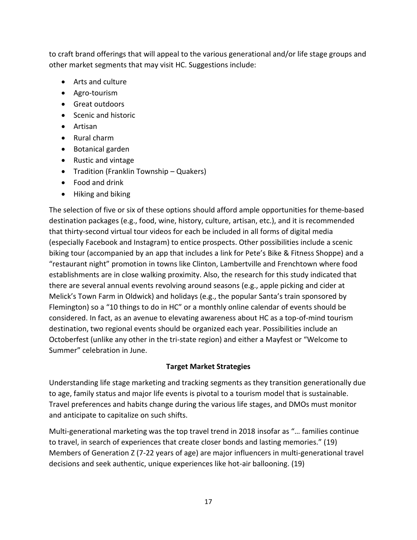to craft brand offerings that will appeal to the various generational and/or life stage groups and other market segments that may visit HC. Suggestions include:

- Arts and culture
- Agro-tourism
- Great outdoors
- Scenic and historic
- Artisan
- Rural charm
- Botanical garden
- Rustic and vintage
- Tradition (Franklin Township Quakers)
- Food and drink
- Hiking and biking

The selection of five or six of these options should afford ample opportunities for theme-based destination packages (e.g., food, wine, history, culture, artisan, etc.), and it is recommended that thirty-second virtual tour videos for each be included in all forms of digital media (especially Facebook and Instagram) to entice prospects. Other possibilities include a scenic biking tour (accompanied by an app that includes a link for Pete's Bike & Fitness Shoppe) and a "restaurant night" promotion in towns like Clinton, Lambertville and Frenchtown where food establishments are in close walking proximity. Also, the research for this study indicated that there are several annual events revolving around seasons (e.g., apple picking and cider at Melick's Town Farm in Oldwick) and holidays (e.g., the popular Santa's train sponsored by Flemington) so a "10 things to do in HC" or a monthly online calendar of events should be considered. In fact, as an avenue to elevating awareness about HC as a top-of-mind tourism destination, two regional events should be organized each year. Possibilities include an Octoberfest (unlike any other in the tri-state region) and either a Mayfest or "Welcome to Summer" celebration in June.

# **Target Market Strategies**

Understanding life stage marketing and tracking segments as they transition generationally due to age, family status and major life events is pivotal to a tourism model that is sustainable. Travel preferences and habits change during the various life stages, and DMOs must monitor and anticipate to capitalize on such shifts.

Multi-generational marketing was the top travel trend in 2018 insofar as "… families continue to travel, in search of experiences that create closer bonds and lasting memories." (19) Members of Generation Z (7-22 years of age) are major influencers in multi-generational travel decisions and seek authentic, unique experiences like hot-air ballooning. (19)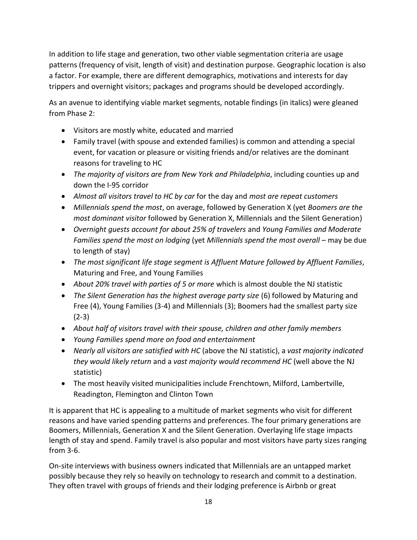In addition to life stage and generation, two other viable segmentation criteria are usage patterns (frequency of visit, length of visit) and destination purpose. Geographic location is also a factor. For example, there are different demographics, motivations and interests for day trippers and overnight visitors; packages and programs should be developed accordingly.

As an avenue to identifying viable market segments, notable findings (in italics) were gleaned from Phase 2:

- Visitors are mostly white, educated and married
- Family travel (with spouse and extended families) is common and attending a special event, for vacation or pleasure or visiting friends and/or relatives are the dominant reasons for traveling to HC
- *The majority of visitors are from New York and Philadelphia*, including counties up and down the I-95 corridor
- *Almost all visitors travel to HC by car* for the day and *most are repeat customers*
- *Millennials spend the most*, on average, followed by Generation X (yet *Boomers are the most dominant visitor* followed by Generation X, Millennials and the Silent Generation)
- *Overnight guests account for about 25% of travelers* and *Young Families and Moderate Families spend the most on lodging* (yet *Millennials spend the most overall* – may be due to length of stay)
- *The most significant life stage segment is Affluent Mature followed by Affluent Families*, Maturing and Free, and Young Families
- *About 20% travel with parties of 5 or more* which is almost double the NJ statistic
- *The Silent Generation has the highest average party size* (6) followed by Maturing and Free (4), Young Families (3-4) and Millennials (3); Boomers had the smallest party size (2-3)
- *About half of visitors travel with their spouse, children and other family members*
- *Young Families spend more on food and entertainment*
- *Nearly all visitors are satisfied with HC* (above the NJ statistic), a *vast majority indicated they would likely return* and a *vast majority would recommend HC* (well above the NJ statistic)
- The most heavily visited municipalities include Frenchtown, Milford, Lambertville, Readington, Flemington and Clinton Town

It is apparent that HC is appealing to a multitude of market segments who visit for different reasons and have varied spending patterns and preferences. The four primary generations are Boomers, Millennials, Generation X and the Silent Generation. Overlaying life stage impacts length of stay and spend. Family travel is also popular and most visitors have party sizes ranging from 3-6.

On-site interviews with business owners indicated that Millennials are an untapped market possibly because they rely so heavily on technology to research and commit to a destination. They often travel with groups of friends and their lodging preference is Airbnb or great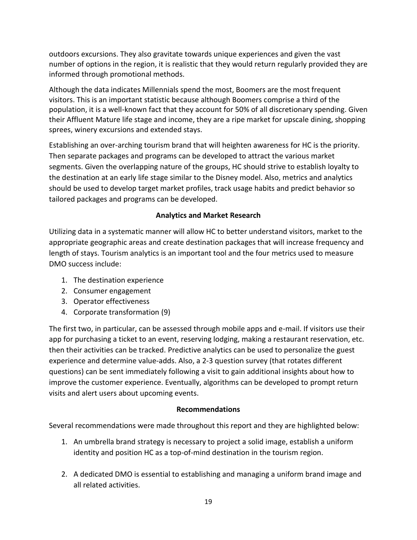outdoors excursions. They also gravitate towards unique experiences and given the vast number of options in the region, it is realistic that they would return regularly provided they are informed through promotional methods.

Although the data indicates Millennials spend the most, Boomers are the most frequent visitors. This is an important statistic because although Boomers comprise a third of the population, it is a well-known fact that they account for 50% of all discretionary spending. Given their Affluent Mature life stage and income, they are a ripe market for upscale dining, shopping sprees, winery excursions and extended stays.

Establishing an over-arching tourism brand that will heighten awareness for HC is the priority. Then separate packages and programs can be developed to attract the various market segments. Given the overlapping nature of the groups, HC should strive to establish loyalty to the destination at an early life stage similar to the Disney model. Also, metrics and analytics should be used to develop target market profiles, track usage habits and predict behavior so tailored packages and programs can be developed.

# **Analytics and Market Research**

Utilizing data in a systematic manner will allow HC to better understand visitors, market to the appropriate geographic areas and create destination packages that will increase frequency and length of stays. Tourism analytics is an important tool and the four metrics used to measure DMO success include:

- 1. The destination experience
- 2. Consumer engagement
- 3. Operator effectiveness
- 4. Corporate transformation (9)

The first two, in particular, can be assessed through mobile apps and e-mail. If visitors use their app for purchasing a ticket to an event, reserving lodging, making a restaurant reservation, etc. then their activities can be tracked. Predictive analytics can be used to personalize the guest experience and determine value-adds. Also, a 2-3 question survey (that rotates different questions) can be sent immediately following a visit to gain additional insights about how to improve the customer experience. Eventually, algorithms can be developed to prompt return visits and alert users about upcoming events.

# **Recommendations**

Several recommendations were made throughout this report and they are highlighted below:

- 1. An umbrella brand strategy is necessary to project a solid image, establish a uniform identity and position HC as a top-of-mind destination in the tourism region.
- 2. A dedicated DMO is essential to establishing and managing a uniform brand image and all related activities.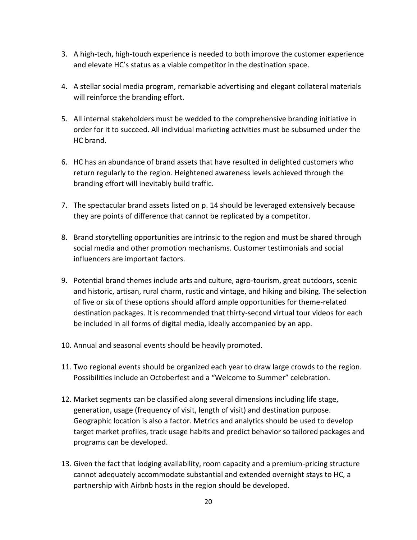- 3. A high-tech, high-touch experience is needed to both improve the customer experience and elevate HC's status as a viable competitor in the destination space.
- 4. A stellar social media program, remarkable advertising and elegant collateral materials will reinforce the branding effort.
- 5. All internal stakeholders must be wedded to the comprehensive branding initiative in order for it to succeed. All individual marketing activities must be subsumed under the HC brand.
- 6. HC has an abundance of brand assets that have resulted in delighted customers who return regularly to the region. Heightened awareness levels achieved through the branding effort will inevitably build traffic.
- 7. The spectacular brand assets listed on p. 14 should be leveraged extensively because they are points of difference that cannot be replicated by a competitor.
- 8. Brand storytelling opportunities are intrinsic to the region and must be shared through social media and other promotion mechanisms. Customer testimonials and social influencers are important factors.
- 9. Potential brand themes include arts and culture, agro-tourism, great outdoors, scenic and historic, artisan, rural charm, rustic and vintage, and hiking and biking. The selection of five or six of these options should afford ample opportunities for theme-related destination packages. It is recommended that thirty-second virtual tour videos for each be included in all forms of digital media, ideally accompanied by an app.
- 10. Annual and seasonal events should be heavily promoted.
- 11. Two regional events should be organized each year to draw large crowds to the region. Possibilities include an Octoberfest and a "Welcome to Summer" celebration.
- 12. Market segments can be classified along several dimensions including life stage, generation, usage (frequency of visit, length of visit) and destination purpose. Geographic location is also a factor. Metrics and analytics should be used to develop target market profiles, track usage habits and predict behavior so tailored packages and programs can be developed.
- 13. Given the fact that lodging availability, room capacity and a premium-pricing structure cannot adequately accommodate substantial and extended overnight stays to HC, a partnership with Airbnb hosts in the region should be developed.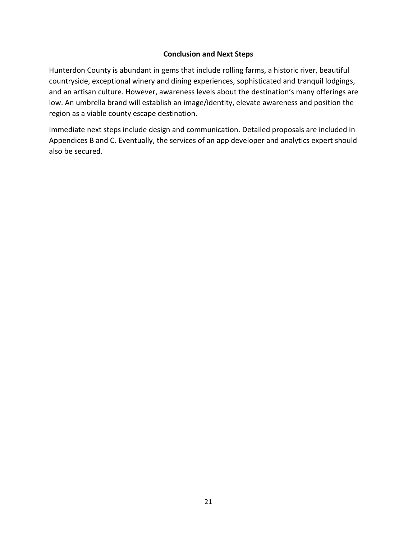#### **Conclusion and Next Steps**

Hunterdon County is abundant in gems that include rolling farms, a historic river, beautiful countryside, exceptional winery and dining experiences, sophisticated and tranquil lodgings, and an artisan culture. However, awareness levels about the destination's many offerings are low. An umbrella brand will establish an image/identity, elevate awareness and position the region as a viable county escape destination.

Immediate next steps include design and communication. Detailed proposals are included in Appendices B and C. Eventually, the services of an app developer and analytics expert should also be secured.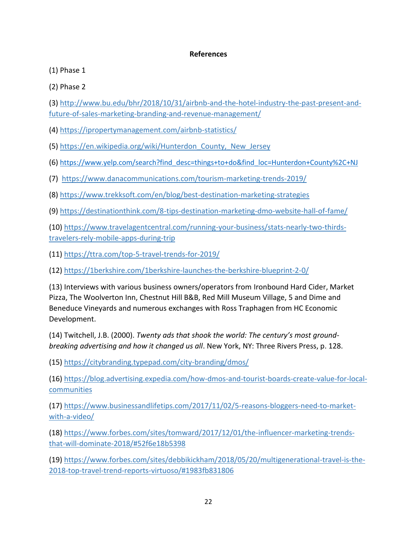#### **References**

(1) Phase 1

(2) Phase 2

(3) [http://www.bu.edu/bhr/2018/10/31/airbnb-and-the-hotel-industry-the-past-present-and](http://www.bu.edu/bhr/2018/10/31/airbnb-and-the-hotel-industry-the-past-present-and-future-of-sales-marketing-branding-and-revenue-management/)[future-of-sales-marketing-branding-and-revenue-management/](http://www.bu.edu/bhr/2018/10/31/airbnb-and-the-hotel-industry-the-past-present-and-future-of-sales-marketing-branding-and-revenue-management/)

(4)<https://ipropertymanagement.com/airbnb-statistics/>

(5) [https://en.wikipedia.org/wiki/Hunterdon\\_County,\\_New\\_Jersey](https://en.wikipedia.org/wiki/Hunterdon_County,_New_Jersey)

(6) [https://www.yelp.com/search?find\\_desc=things+to+do&find\\_loc=Hunterdon+County%2C+NJ](https://www.yelp.com/search?find_desc=things+to+do&find_loc=Hunterdon+County%2C+NJ)

(7) <https://www.danacommunications.com/tourism-marketing-trends-2019/>

(8)<https://www.trekksoft.com/en/blog/best-destination-marketing-strategies>

(9)<https://destinationthink.com/8-tips-destination-marketing-dmo-website-hall-of-fame/>

(10) [https://www.travelagentcentral.com/running-your-business/stats-nearly-two-thirds](https://www.travelagentcentral.com/running-your-business/stats-nearly-two-thirds-travelers-rely-mobile-apps-during-trip)[travelers-rely-mobile-apps-during-trip](https://www.travelagentcentral.com/running-your-business/stats-nearly-two-thirds-travelers-rely-mobile-apps-during-trip)

(11)<https://ttra.com/top-5-travel-trends-for-2019/>

(12)<https://1berkshire.com/1berkshire-launches-the-berkshire-blueprint-2-0/>

(13) Interviews with various business owners/operators from Ironbound Hard Cider, Market Pizza, The Woolverton Inn, Chestnut Hill B&B, Red Mill Museum Village, 5 and Dime and Beneduce Vineyards and numerous exchanges with Ross Traphagen from HC Economic Development.

(14) Twitchell, J.B. (2000). *Twenty ads that shook the world: The century's most groundbreaking advertising and how it changed us all*. New York, NY: Three Rivers Press, p. 128.

(15)<https://citybranding.typepad.com/city-branding/dmos/>

(16) [https://blog.advertising.expedia.com/how-dmos-and-tourist-boards-create-value-for-local](https://blog.advertising.expedia.com/how-dmos-and-tourist-boards-create-value-for-local-communities)[communities](https://blog.advertising.expedia.com/how-dmos-and-tourist-boards-create-value-for-local-communities)

(17) [https://www.businessandlifetips.com/2017/11/02/5-reasons-bloggers-need-to-market](https://www.businessandlifetips.com/2017/11/02/5-reasons-bloggers-need-to-market-with-a-video/)[with-a-video/](https://www.businessandlifetips.com/2017/11/02/5-reasons-bloggers-need-to-market-with-a-video/)

(18) [https://www.forbes.com/sites/tomward/2017/12/01/the-influencer-marketing-trends](https://www.forbes.com/sites/tomward/2017/12/01/the-influencer-marketing-trends-that-will-dominate-2018/#52f6e18b5398)[that-will-dominate-2018/#52f6e18b5398](https://www.forbes.com/sites/tomward/2017/12/01/the-influencer-marketing-trends-that-will-dominate-2018/#52f6e18b5398)

(19) [https://www.forbes.com/sites/debbikickham/2018/05/20/multigenerational-travel-is-the-](https://www.forbes.com/sites/debbikickham/2018/05/20/multigenerational-travel-is-the-2018-top-travel-trend-reports-virtuoso/#1983fb831806)[2018-top-travel-trend-reports-virtuoso/#1983fb831806](https://www.forbes.com/sites/debbikickham/2018/05/20/multigenerational-travel-is-the-2018-top-travel-trend-reports-virtuoso/#1983fb831806)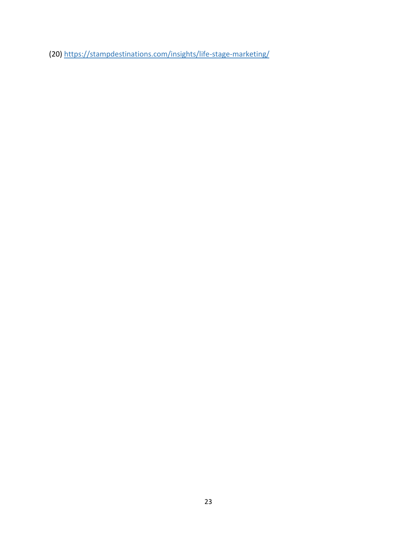(20)<https://stampdestinations.com/insights/life-stage-marketing/>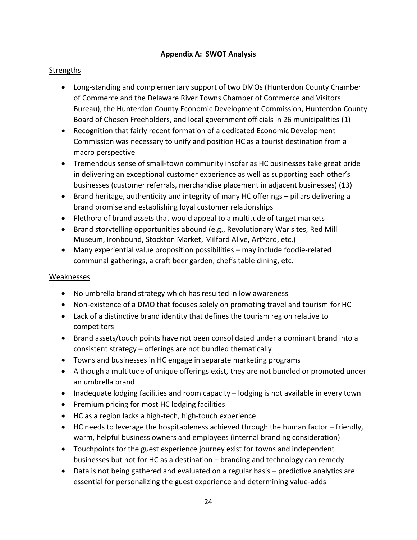#### **Appendix A: SWOT Analysis**

### **Strengths**

- Long-standing and complementary support of two DMOs (Hunterdon County Chamber of Commerce and the Delaware River Towns Chamber of Commerce and Visitors Bureau), the Hunterdon County Economic Development Commission, Hunterdon County Board of Chosen Freeholders, and local government officials in 26 municipalities (1)
- Recognition that fairly recent formation of a dedicated Economic Development Commission was necessary to unify and position HC as a tourist destination from a macro perspective
- Tremendous sense of small-town community insofar as HC businesses take great pride in delivering an exceptional customer experience as well as supporting each other's businesses (customer referrals, merchandise placement in adjacent businesses) (13)
- Brand heritage, authenticity and integrity of many HC offerings pillars delivering a brand promise and establishing loyal customer relationships
- Plethora of brand assets that would appeal to a multitude of target markets
- Brand storytelling opportunities abound (e.g., Revolutionary War sites, Red Mill Museum, Ironbound, Stockton Market, Milford Alive, ArtYard, etc.)
- Many experiential value proposition possibilities may include foodie-related communal gatherings, a craft beer garden, chef's table dining, etc.

#### Weaknesses

- No umbrella brand strategy which has resulted in low awareness
- Non-existence of a DMO that focuses solely on promoting travel and tourism for HC
- Lack of a distinctive brand identity that defines the tourism region relative to competitors
- Brand assets/touch points have not been consolidated under a dominant brand into a consistent strategy – offerings are not bundled thematically
- Towns and businesses in HC engage in separate marketing programs
- Although a multitude of unique offerings exist, they are not bundled or promoted under an umbrella brand
- Inadequate lodging facilities and room capacity lodging is not available in every town
- Premium pricing for most HC lodging facilities
- HC as a region lacks a high-tech, high-touch experience
- HC needs to leverage the hospitableness achieved through the human factor friendly, warm, helpful business owners and employees (internal branding consideration)
- Touchpoints for the guest experience journey exist for towns and independent businesses but not for HC as a destination – branding and technology can remedy
- Data is not being gathered and evaluated on a regular basis predictive analytics are essential for personalizing the guest experience and determining value-adds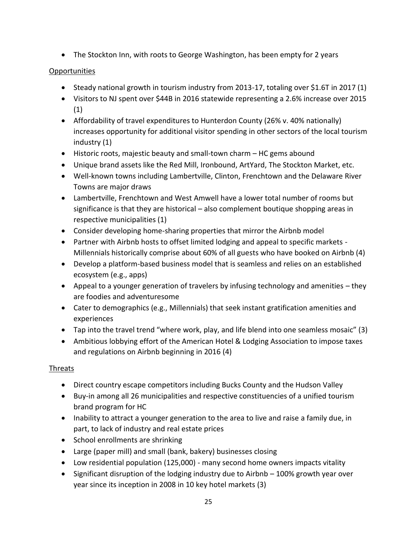• The Stockton Inn, with roots to George Washington, has been empty for 2 years

# Opportunities

- Steady national growth in tourism industry from 2013-17, totaling over \$1.6T in 2017 (1)
- Visitors to NJ spent over \$44B in 2016 statewide representing a 2.6% increase over 2015 (1)
- Affordability of travel expenditures to Hunterdon County (26% v. 40% nationally) increases opportunity for additional visitor spending in other sectors of the local tourism industry (1)
- Historic roots, majestic beauty and small-town charm HC gems abound
- Unique brand assets like the Red Mill, Ironbound, ArtYard, The Stockton Market, etc.
- Well-known towns including Lambertville, Clinton, Frenchtown and the Delaware River Towns are major draws
- Lambertville, Frenchtown and West Amwell have a lower total number of rooms but significance is that they are historical – also complement boutique shopping areas in respective municipalities (1)
- Consider developing home-sharing properties that mirror the Airbnb model
- Partner with Airbnb hosts to offset limited lodging and appeal to specific markets Millennials historically comprise about 60% of all guests who have booked on Airbnb (4)
- Develop a platform-based business model that is seamless and relies on an established ecosystem (e.g., apps)
- Appeal to a younger generation of travelers by infusing technology and amenities they are foodies and adventuresome
- Cater to demographics (e.g., Millennials) that seek instant gratification amenities and experiences
- Tap into the travel trend "where work, play, and life blend into one seamless mosaic" (3)
- Ambitious lobbying effort of the American Hotel & Lodging Association to impose taxes and regulations on Airbnb beginning in 2016 (4)

# Threats

- Direct country escape competitors including Bucks County and the Hudson Valley
- Buy-in among all 26 municipalities and respective constituencies of a unified tourism brand program for HC
- Inability to attract a younger generation to the area to live and raise a family due, in part, to lack of industry and real estate prices
- School enrollments are shrinking
- Large (paper mill) and small (bank, bakery) businesses closing
- Low residential population (125,000) many second home owners impacts vitality
- Significant disruption of the lodging industry due to Airbnb 100% growth year over year since its inception in 2008 in 10 key hotel markets (3)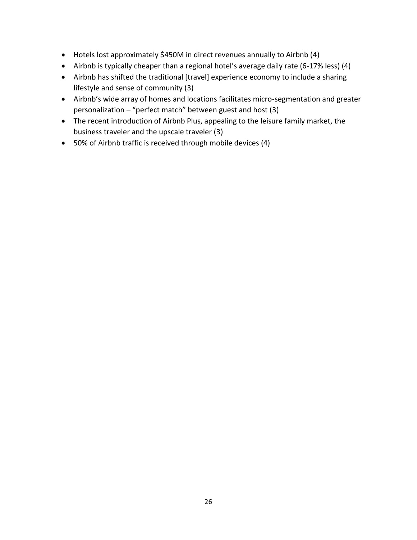- Hotels lost approximately \$450M in direct revenues annually to Airbnb (4)
- Airbnb is typically cheaper than a regional hotel's average daily rate (6-17% less) (4)
- Airbnb has shifted the traditional [travel] experience economy to include a sharing lifestyle and sense of community (3)
- Airbnb's wide array of homes and locations facilitates micro-segmentation and greater personalization – "perfect match" between guest and host (3)
- The recent introduction of Airbnb Plus, appealing to the leisure family market, the business traveler and the upscale traveler (3)
- 50% of Airbnb traffic is received through mobile devices (4)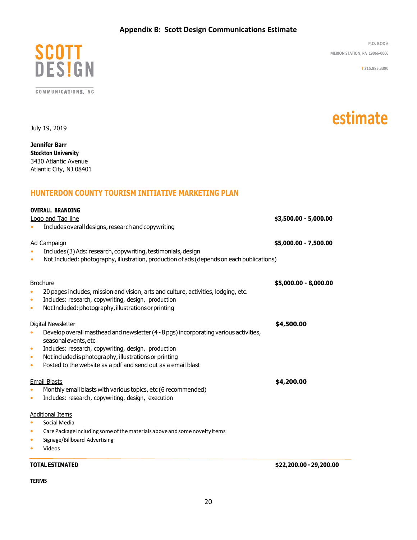#### **Appendix B: Scott Design Communications Estimate**



COMMUNICATIONS, INC.

**P.O. BOX 6 MERION STATION, PA 19066-0006**

**estimate**

**T 215.885.3390**

July 19, 2019

**Jennifer Barr Stockton University** 3430 Atlantic Avenue Atlantic City, NJ 08401

#### **HUNTERDON COUNTY TOURISM INITIATIVE MARKETING PLAN**

| <b>OVERALL BRANDING</b><br>Logo and Tag line                                                                                           | Includes overall designs, research and copywriting                                                                                                                                                                                                                     | \$3,500.00 - 5,000.00   |
|----------------------------------------------------------------------------------------------------------------------------------------|------------------------------------------------------------------------------------------------------------------------------------------------------------------------------------------------------------------------------------------------------------------------|-------------------------|
| <b>Ad Campaign</b><br>$\bullet$                                                                                                        | Includes (3) Ads: research, copywriting, testimonials, design<br>Not Included: photography, illustration, production of ads (depends on each publications)                                                                                                             | \$5,000.00 - 7,500.00   |
| <b>Brochure</b><br>$\bullet$<br>$\bullet$<br>$\bullet$                                                                                 | 20 pages includes, mission and vision, arts and culture, activities, lodging, etc.<br>Includes: research, copywriting, design, production<br>Not Included: photography, illustrations or printing                                                                      | \$5,000.00 - 8,000.00   |
| Digital Newsletter<br>$\bullet$<br>seasonal events, etc<br>$\bullet$<br>$\bullet$<br>$\bullet$                                         | Develop overall masthead and newsletter (4 - 8 pgs) incorporating various activities,<br>Includes: research, copywriting, design, production<br>Not included is photography, illustrations or printing<br>Posted to the website as a pdf and send out as a email blast | \$4,500.00              |
| <b>Email Blasts</b><br>$\bullet$<br>$\bullet$                                                                                          | Monthly email blasts with various topics, etc (6 recommended)<br>Includes: research, copywriting, design, execution                                                                                                                                                    | \$4,200.00              |
| <b>Additional Items</b><br>Social Media<br>$\bullet$<br>$\bullet$<br>Signage/Billboard Advertising<br>$\bullet$<br>Videos<br>$\bullet$ | Care Package including some of the materials above and some novelty items                                                                                                                                                                                              |                         |
| <b>TOTAL ESTIMATED</b>                                                                                                                 |                                                                                                                                                                                                                                                                        | \$22,200.00 - 29,200.00 |

**TERMS**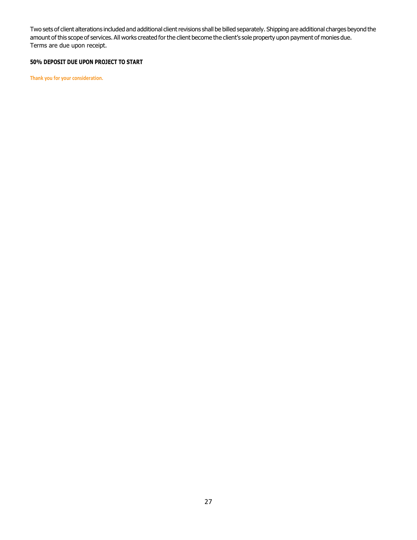Two sets of client alterations included and additional client revisions shall be billed separately. Shipping are additional charges beyond the amount of this scope of services. All works created for the client become the client's sole property upon payment of monies due. Terms are due upon receipt.

#### **50% DEPOSIT DUE UPON PROJECT TO START**

**Thank you for your consideration.**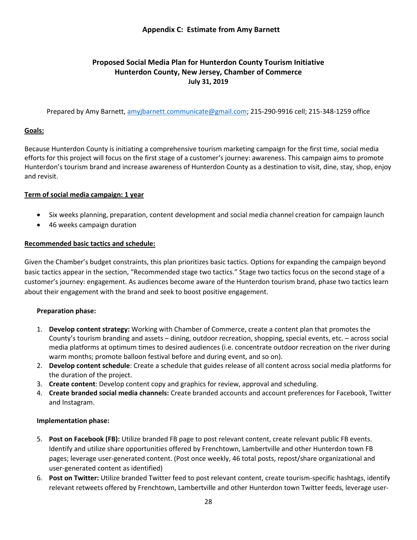#### **Appendix C: Estimate from Amy Barnett**

### **Proposed Social Media Plan for Hunterdon County Tourism Initiative Hunterdon County, New Jersey, Chamber of Commerce July 31, 2019**

Prepared by Amy Barnett, [amyjbarnett.communicate@gmail.com;](mailto:amyjbarnett.communicate@gmail.com) 215-290-9916 cell; 215-348-1259 office

#### **Goals:**

Because Hunterdon County is initiating a comprehensive tourism marketing campaign for the first time, social media efforts for this project will focus on the first stage of a customer's journey: awareness. This campaign aims to promote Hunterdon's tourism brand and increase awareness of Hunterdon County as a destination to visit, dine, stay, shop, enjoy and revisit.

#### **Term of social media campaign: 1 year**

- Six weeks planning, preparation, content development and social media channel creation for campaign launch
- 46 weeks campaign duration

#### **Recommended basic tactics and schedule:**

Given the Chamber's budget constraints, this plan prioritizes basic tactics. Options for expanding the campaign beyond basic tactics appear in the section, "Recommended stage two tactics." Stage two tactics focus on the second stage of a customer's journey: engagement. As audiences become aware of the Hunterdon tourism brand, phase two tactics learn about their engagement with the brand and seek to boost positive engagement.

#### **Preparation phase:**

- 1. **Develop content strategy:** Working with Chamber of Commerce, create a content plan that promotes the County's tourism branding and assets – dining, outdoor recreation, shopping, special events, etc. – across social media platforms at optimum times to desired audiences (i.e. concentrate outdoor recreation on the river during warm months; promote balloon festival before and during event, and so on).
- 2. **Develop content schedule**: Create a schedule that guides release of all content across social media platforms for the duration of the project.
- 3. **Create content**: Develop content copy and graphics for review, approval and scheduling.
- 4. **Create branded social media channels:** Create branded accounts and account preferences for Facebook, Twitter and Instagram.

#### **Implementation phase:**

- 5. **Post on Facebook (FB):** Utilize branded FB page to post relevant content, create relevant public FB events. Identify and utilize share opportunities offered by Frenchtown, Lambertville and other Hunterdon town FB pages; leverage user-generated content. (Post once weekly, 46 total posts, repost/share organizational and user-generated content as identified)
- 6. **Post on Twitter:** Utilize branded Twitter feed to post relevant content, create tourism-specific hashtags, identify relevant retweets offered by Frenchtown, Lambertville and other Hunterdon town Twitter feeds, leverage user-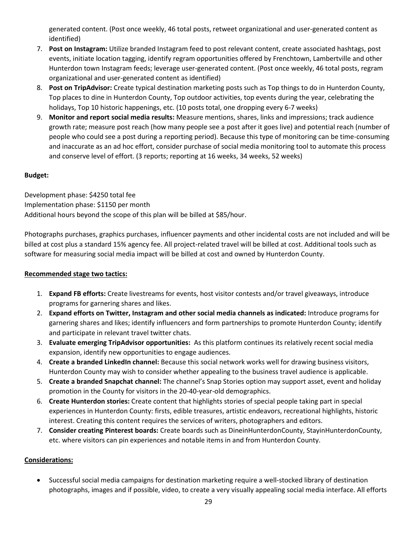generated content. (Post once weekly, 46 total posts, retweet organizational and user-generated content as identified)

- 7. **Post on Instagram:** Utilize branded Instagram feed to post relevant content, create associated hashtags, post events, initiate location tagging, identify regram opportunities offered by Frenchtown, Lambertville and other Hunterdon town Instagram feeds; leverage user-generated content. (Post once weekly, 46 total posts, regram organizational and user-generated content as identified)
- 8. **Post on TripAdvisor:** Create typical destination marketing posts such as Top things to do in Hunterdon County, Top places to dine in Hunterdon County, Top outdoor activities, top events during the year, celebrating the holidays, Top 10 historic happenings, etc. (10 posts total, one dropping every 6-7 weeks)
- 9. **Monitor and report social media results:** Measure mentions, shares, links and impressions; track audience growth rate; measure post reach (how many people see a post after it goes live) and potential reach (number of people who could see a post during a reporting period). Because this type of monitoring can be time-consuming and inaccurate as an ad hoc effort, consider purchase of social media monitoring tool to automate this process and conserve level of effort. (3 reports; reporting at 16 weeks, 34 weeks, 52 weeks)

#### **Budget:**

Development phase: \$4250 total fee Implementation phase: \$1150 per month Additional hours beyond the scope of this plan will be billed at \$85/hour.

Photographs purchases, graphics purchases, influencer payments and other incidental costs are not included and will be billed at cost plus a standard 15% agency fee. All project-related travel will be billed at cost. Additional tools such as software for measuring social media impact will be billed at cost and owned by Hunterdon County.

#### **Recommended stage two tactics:**

- 1. **Expand FB efforts:** Create livestreams for events, host visitor contests and/or travel giveaways, introduce programs for garnering shares and likes.
- 2. **Expand efforts on Twitter, Instagram and other social media channels as indicated:** Introduce programs for garnering shares and likes; identify influencers and form partnerships to promote Hunterdon County; identify and participate in relevant travel twitter chats.
- 3. **Evaluate emerging TripAdvisor opportunities:** As this platform continues its relatively recent social media expansion, identify new opportunities to engage audiences.
- 4. **Create a branded LinkedIn channel:** Because this social network works well for drawing business visitors, Hunterdon County may wish to consider whether appealing to the business travel audience is applicable.
- 5. **Create a branded Snapchat channel:** The channel's Snap Stories option may support asset, event and holiday promotion in the County for visitors in the 20-40-year-old demographics.
- 6. **Create Hunterdon stories:** Create content that highlights stories of special people taking part in special experiences in Hunterdon County: firsts, edible treasures, artistic endeavors, recreational highlights, historic interest. Creating this content requires the services of writers, photographers and editors.
- 7. **Consider creating Pinterest boards:** Create boards such as DineinHunterdonCounty, StayinHunterdonCounty, etc. where visitors can pin experiences and notable items in and from Hunterdon County.

#### **Considerations:**

• Successful social media campaigns for destination marketing require a well-stocked library of destination photographs, images and if possible, video, to create a very visually appealing social media interface. All efforts